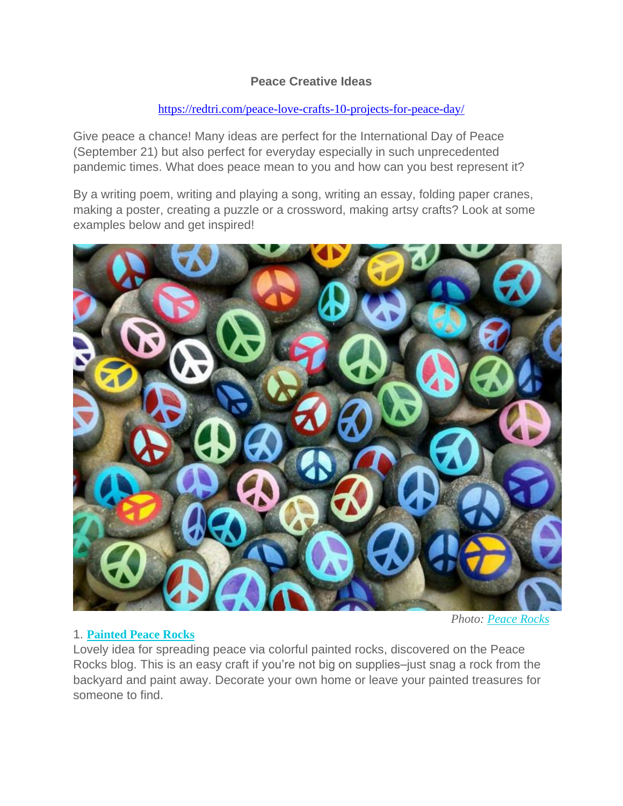### **Peace Creative Ideas**

### <https://redtri.com/peace-love-crafts-10-projects-for-peace-day/>

Give peace a chance! Many ideas are perfect for the International Day of Peace (September 21) but also perfect for everyday especially in such unprecedented pandemic times. What does peace mean to you and how can you best represent it?

By a writing poem, writing and playing a song, writing an essay, folding paper cranes, making a poster, creating a puzzle or a crossword, making artsy crafts? Look at some examples below and get inspired!



#### 1. **[Painted](http://sasa-peace-rocks.blogspot.com/2010/09/peace-bells-across-hudson-peace-rocks.html) Peace Rocks**

*Photo: [Peace](http://sasa-peace-rocks.blogspot.com/) Rocks*

Lovely idea for spreading peace via colorful painted rocks, discovered on the Peace Rocks blog. This is an easy craft if you're not big on supplies–just snag a rock from the backyard and paint away. Decorate your own home or leave your painted treasures for someone to find.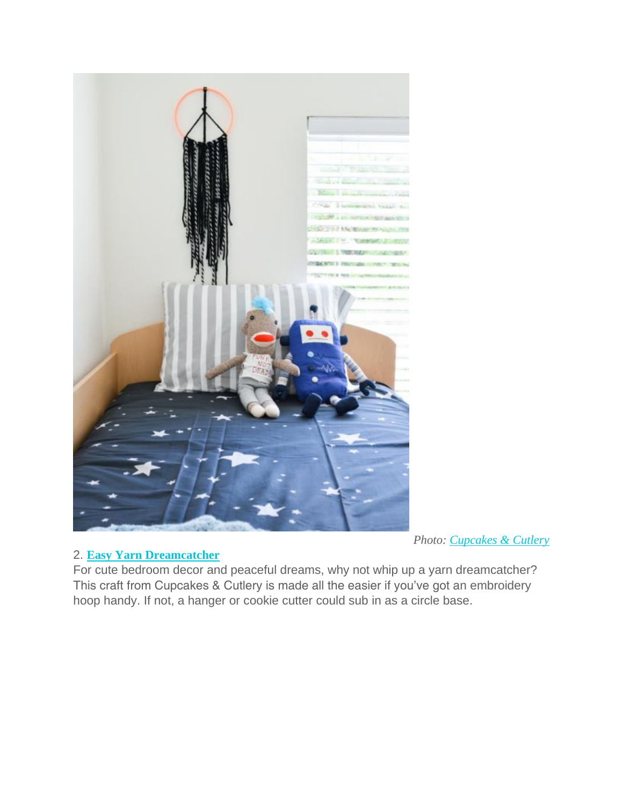

### *Photo: [Cupcakes](http://www.cupcakesandcutlery.com/) & Cutlery*

# 2. **Easy Yarn [Dreamcatcher](http://www.cupcakesandcutlery.com/easy-yarn-dream-catcher/)**

For cute bedroom decor and peaceful dreams, why not whip up a yarn dreamcatcher? This craft from Cupcakes & Cutlery is made all the easier if you've got an embroidery hoop handy. If not, a hanger or cookie cutter could sub in as a circle base.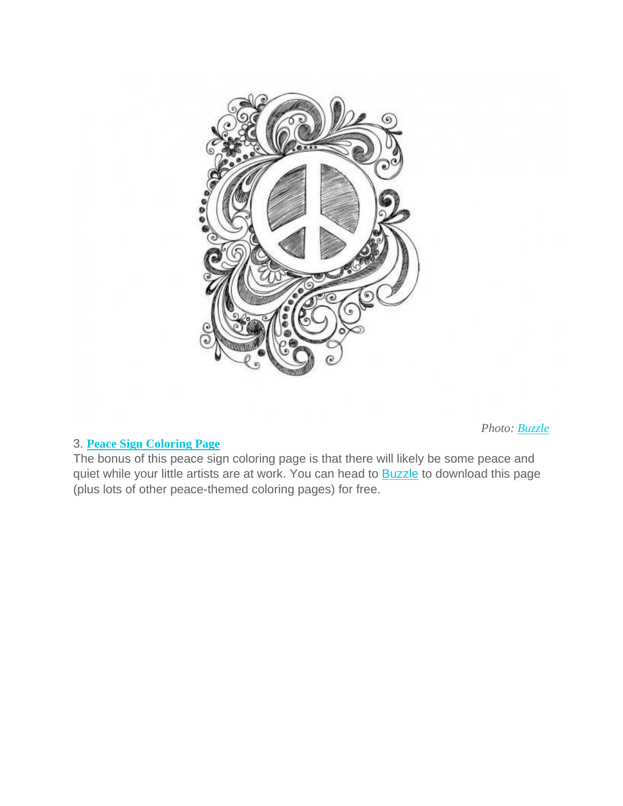

# 3. **Peace Sign [Coloring](http://www.buzzle.com/articles/free-printable-peace-sign-coloring-pages.html) Page**

The bonus of this peace sign coloring page is that there will likely be some peace and quiet while your little artists are at work. You can head to **[Buzzle](http://www.buzzle.com/articles/free-printable-peace-sign-coloring-pages.html)** to download this page (plus lots of other peace-themed coloring pages) for free.

*Photo: [Buzzle](http://www.buzzle.com/)*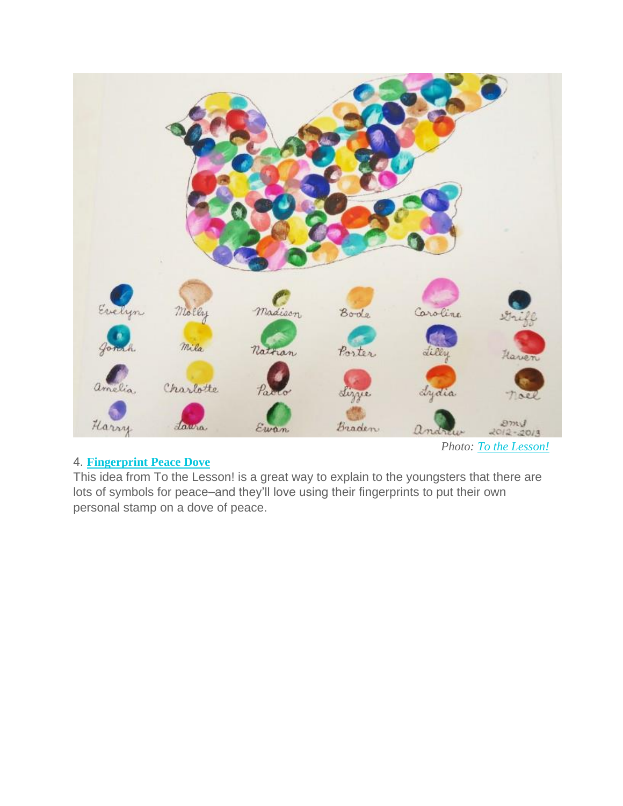

# 4. **[Fingerprint](http://tothelesson.blogspot.com/2012/09/in-honor-of-peace-day.html) Peace Dove**

*Photo: To the [Lesson!](http://tothelesson.blogspot.com/)*

This idea from To the Lesson! is a great way to explain to the youngsters that there are lots of symbols for peace–and they'll love using their fingerprints to put their own personal stamp on a dove of peace.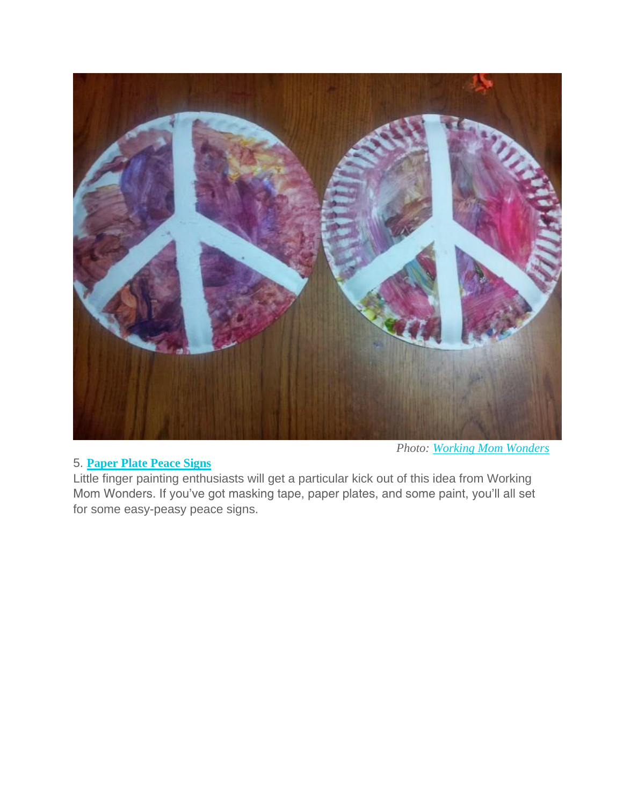

# 5. **[Paper](http://workingmomwonders.blogspot.com/2014/01/peace-craft-for-martin-luther-king-jr.html) Plate Peace Signs**

Little finger painting enthusiasts will get a particular kick out of this idea from Working Mom Wonders. If you've got masking tape, paper plates, and some paint, you'll all set for some easy-peasy peace signs.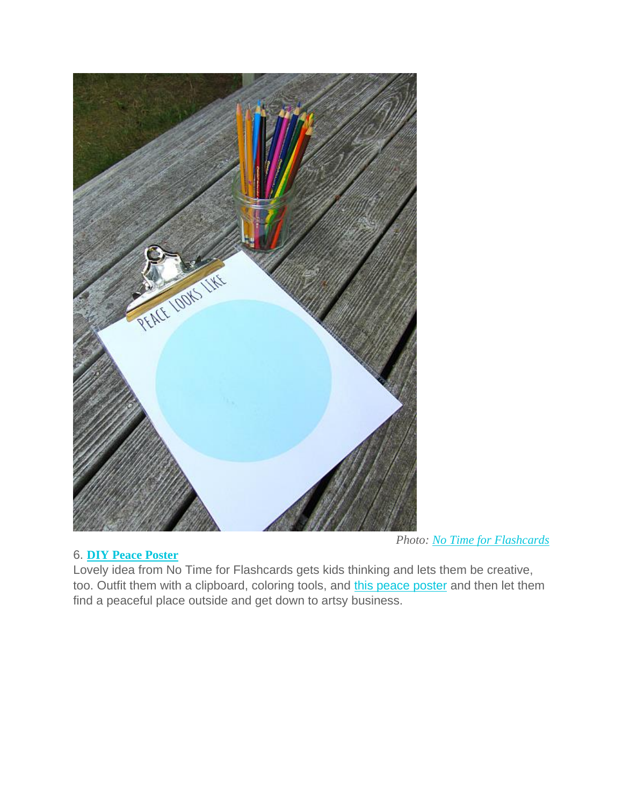

### 6. **DIY Peace [Poster](http://www.notimeforflashcards.com/2013/08/peace-sign-activity-for-kids.html)**

*Photo: No Time for [Flashcards](http://www.notimeforflashcards.com/)*

Lovely idea from No Time for Flashcards gets kids thinking and lets them be creative, too. Outfit them with a clipboard, coloring tools, and this peace [poster](http://www.notimeforflashcards.com/2013/08/peace-sign-activity-for-kids.html) and then let them find a peaceful place outside and get down to artsy business.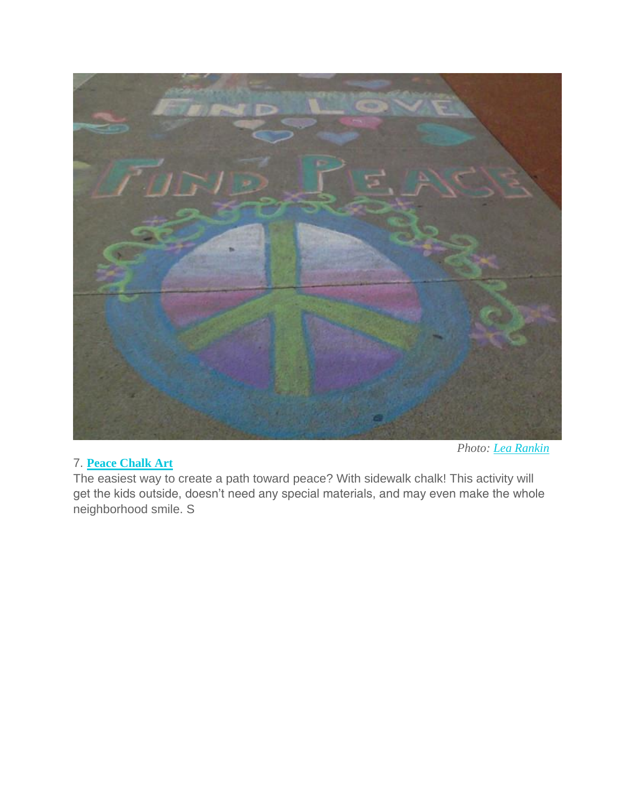

# 7. **Peace [Chalk](https://lea64smile.wordpress.com/2013/03/09/sidewalk-chalk-art/) Art**

*Photo: Lea [Rankin](https://lea64smile.wordpress.com/)*

The easiest way to create a path toward peace? With sidewalk chalk! This activity will get the kids outside, doesn't need any special materials, and may even make the whole neighborhood smile. S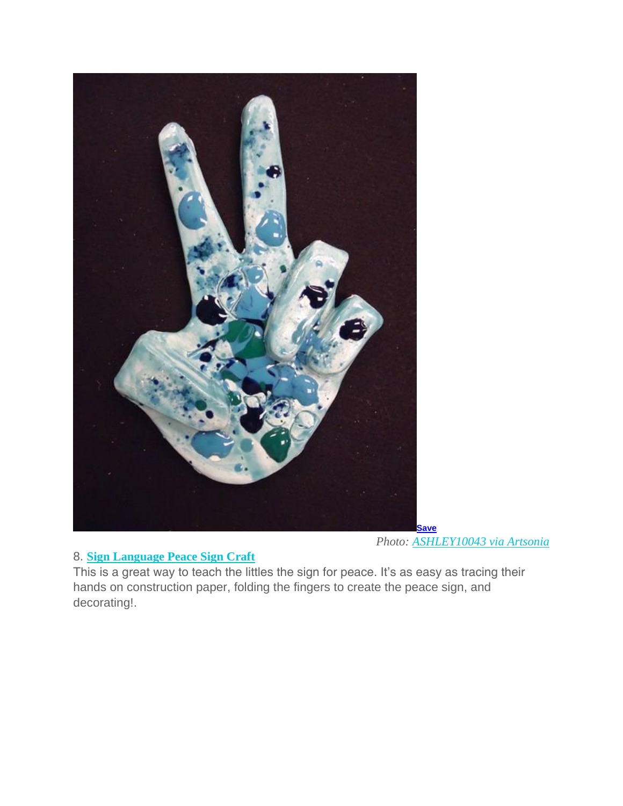

# 8. **Sign [Language](http://www.artsonia.com/museum/art.asp?id=24828119) Peace Sign Craft**

This is a great way to teach the littles the sign for peace. It's as easy as tracing their hands on construction paper, folding the fingers to create the peace sign, and decorating!.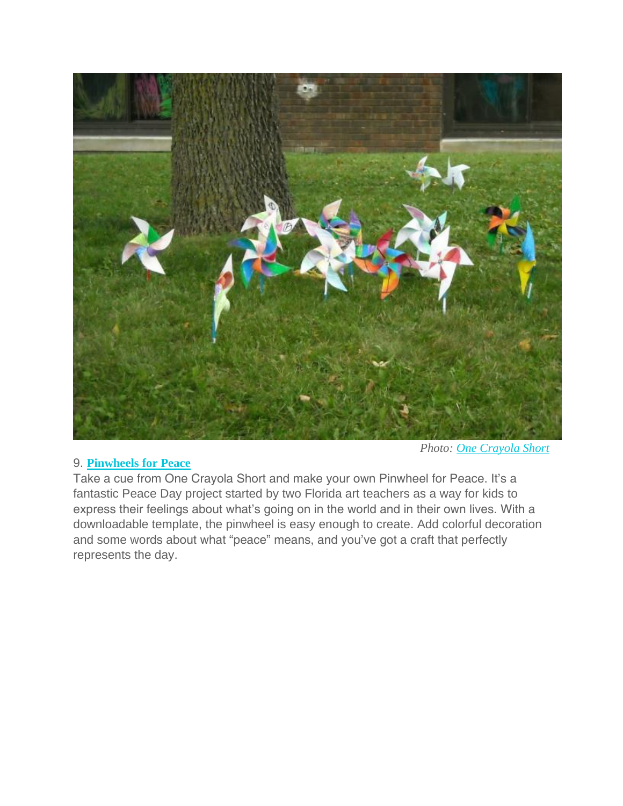

#### 9. **[Pinwheels](http://www.pinwheelsforpeace.com/pinwheelsforpeace/home.html) for Peace**

*Photo: One [Crayola](http://onecrayolashort.blogspot.com/2010/09/pinwheels-for-peace.html) Short*

Take a cue from One Crayola Short and make your own Pinwheel for Peace. It's a fantastic Peace Day project started by two Florida art teachers as a way for kids to express their feelings about what's going on in the world and in their own lives. With a downloadable template, the pinwheel is easy enough to create. Add colorful decoration and some words about what "peace" means, and you've got a craft that perfectly represents the day.